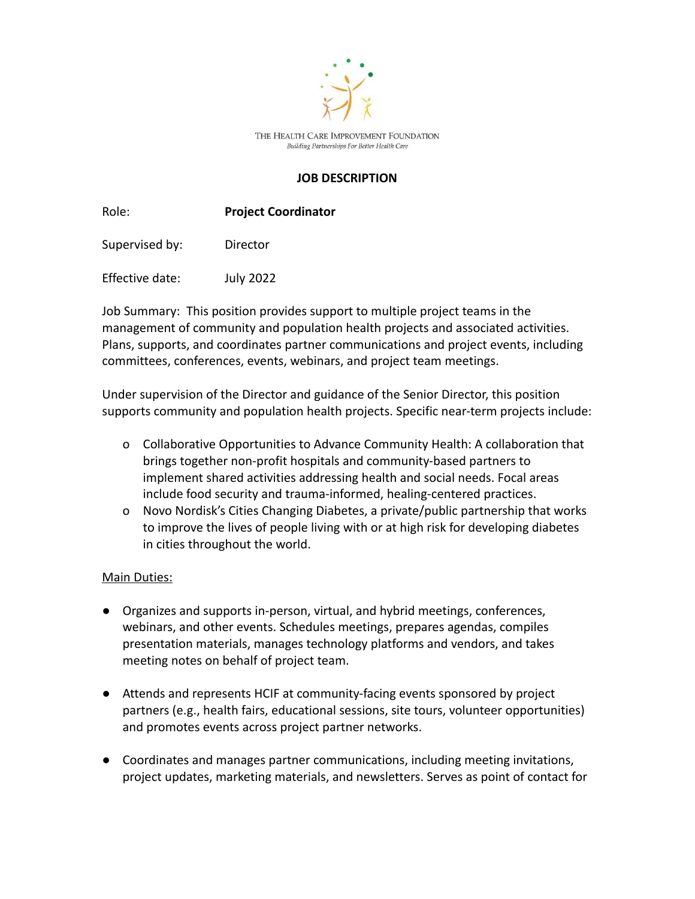

THE HEALTH CARE IMPROVEMENT FOUNDATION Building Partnerships For Better Health Care

## **JOB DESCRIPTION**

Role: **Project Coordinator**

Supervised by: Director

Effective date: July 2022

Job Summary: This position provides support to multiple project teams in the management of community and population health projects and associated activities. Plans, supports, and coordinates partner communications and project events, including committees, conferences, events, webinars, and project team meetings.

Under supervision of the Director and guidance of the Senior Director, this position supports community and population health projects. Specific near-term projects include:

- o Collaborative Opportunities to Advance Community Health: A collaboration that brings together non-profit hospitals and community-based partners to implement shared activities addressing health and social needs. Focal areas include food security and trauma-informed, healing-centered practices.
- o Novo Nordisk's Cities Changing Diabetes, a private/public partnership that works to improve the lives of people living with or at high risk for developing diabetes in cities throughout the world.

## Main Duties:

- Organizes and supports in-person, virtual, and hybrid meetings, conferences, webinars, and other events. Schedules meetings, prepares agendas, compiles presentation materials, manages technology platforms and vendors, and takes meeting notes on behalf of project team.
- Attends and represents HCIF at community-facing events sponsored by project partners (e.g., health fairs, educational sessions, site tours, volunteer opportunities) and promotes events across project partner networks.
- Coordinates and manages partner communications, including meeting invitations, project updates, marketing materials, and newsletters. Serves as point of contact for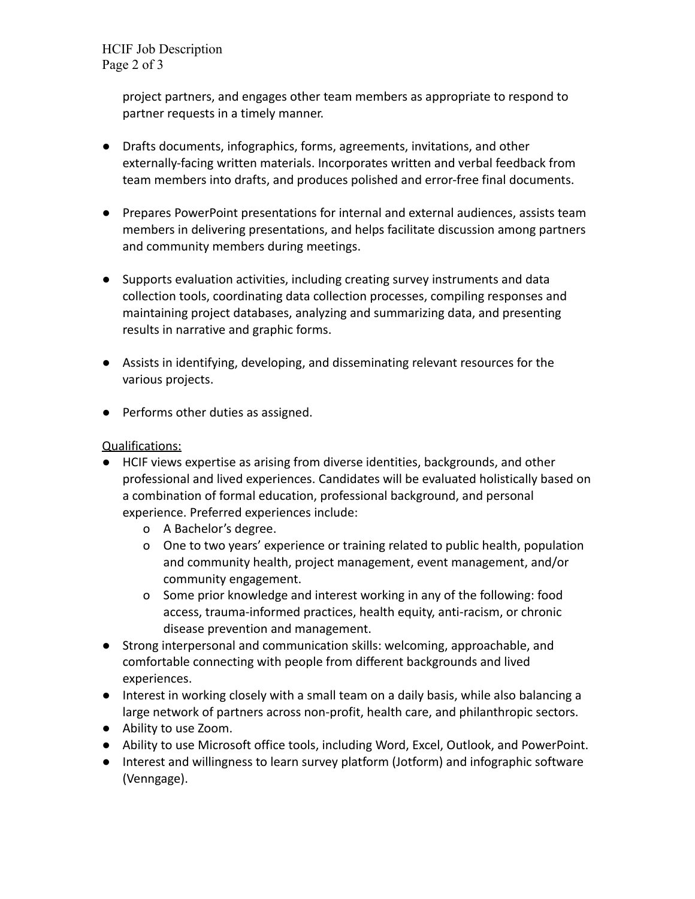HCIF Job Description Page 2 of 3

> project partners, and engages other team members as appropriate to respond to partner requests in a timely manner.

- Drafts documents, infographics, forms, agreements, invitations, and other externally-facing written materials. Incorporates written and verbal feedback from team members into drafts, and produces polished and error-free final documents.
- Prepares PowerPoint presentations for internal and external audiences, assists team members in delivering presentations, and helps facilitate discussion among partners and community members during meetings.
- Supports evaluation activities, including creating survey instruments and data collection tools, coordinating data collection processes, compiling responses and maintaining project databases, analyzing and summarizing data, and presenting results in narrative and graphic forms.
- Assists in identifying, developing, and disseminating relevant resources for the various projects.
- Performs other duties as assigned.

## Qualifications:

- HCIF views expertise as arising from diverse identities, backgrounds, and other professional and lived experiences. Candidates will be evaluated holistically based on a combination of formal education, professional background, and personal experience. Preferred experiences include:
	- o A Bachelor's degree.
	- o One to two years' experience or training related to public health, population and community health, project management, event management, and/or community engagement.
	- o Some prior knowledge and interest working in any of the following: food access, trauma-informed practices, health equity, anti-racism, or chronic disease prevention and management.
- Strong interpersonal and communication skills: welcoming, approachable, and comfortable connecting with people from different backgrounds and lived experiences.
- Interest in working closely with a small team on a daily basis, while also balancing a large network of partners across non-profit, health care, and philanthropic sectors.
- Ability to use Zoom.
- Ability to use Microsoft office tools, including Word, Excel, Outlook, and PowerPoint.
- Interest and willingness to learn survey platform (Jotform) and infographic software (Venngage).